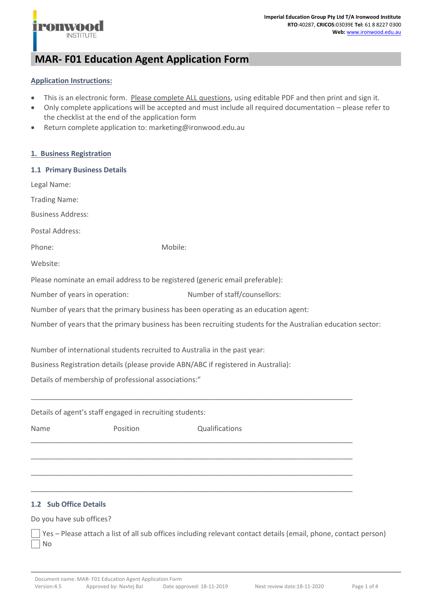

# **MAR- F01 Education Agent Application Form**

# **Application Instructions:**

**ONWO** 

**INSTITUTE** 

- This is an electronic form. Please complete ALL questions, using editable PDF and then print and sign it.
- Only complete applications will be accepted and must include all required documentation please refer to the checklist at the end of the application form
- Return complete application to: marketing@ironwood.edu.au

## **1. Business Registration**

| 1.1 Primary Business Details                                                                                |          |                                                                                     |  |  |
|-------------------------------------------------------------------------------------------------------------|----------|-------------------------------------------------------------------------------------|--|--|
| Legal Name:                                                                                                 |          |                                                                                     |  |  |
| <b>Trading Name:</b>                                                                                        |          |                                                                                     |  |  |
| <b>Business Address:</b>                                                                                    |          |                                                                                     |  |  |
| Postal Address:                                                                                             |          |                                                                                     |  |  |
| Phone:                                                                                                      |          | Mobile:                                                                             |  |  |
| Website:                                                                                                    |          |                                                                                     |  |  |
|                                                                                                             |          | Please nominate an email address to be registered (generic email preferable):       |  |  |
| Number of years in operation:                                                                               |          | Number of staff/counsellors:                                                        |  |  |
|                                                                                                             |          | Number of years that the primary business has been operating as an education agent: |  |  |
| Number of years that the primary business has been recruiting students for the Australian education sector: |          |                                                                                     |  |  |
|                                                                                                             |          | Number of international students recruited to Australia in the past year:           |  |  |
|                                                                                                             |          | Business Registration details (please provide ABN/ABC if registered in Australia):  |  |  |
| Details of membership of professional associations:"                                                        |          |                                                                                     |  |  |
|                                                                                                             |          |                                                                                     |  |  |
| Details of agent's staff engaged in recruiting students:                                                    |          |                                                                                     |  |  |
| Name                                                                                                        | Position | Qualifications                                                                      |  |  |
|                                                                                                             |          |                                                                                     |  |  |

# **1.2 Sub Office Details**

# Do you have sub offices?

Yes – Please attach a list of all sub offices including relevant contact details (email, phone, contact person) No

\_\_\_\_\_\_\_\_\_\_\_\_\_\_\_\_\_\_\_\_\_\_\_\_\_\_\_\_\_\_\_\_\_\_\_\_\_\_\_\_\_\_\_\_\_\_\_\_\_\_\_\_\_\_\_\_\_\_\_\_\_\_\_\_\_\_\_\_\_\_\_\_\_\_\_\_\_\_\_\_\_

\_\_\_\_\_\_\_\_\_\_\_\_\_\_\_\_\_\_\_\_\_\_\_\_\_\_\_\_\_\_\_\_\_\_\_\_\_\_\_\_\_\_\_\_\_\_\_\_\_\_\_\_\_\_\_\_\_\_\_\_\_\_\_\_\_\_\_\_\_\_\_\_\_\_\_\_\_\_\_\_\_

\_\_\_\_\_\_\_\_\_\_\_\_\_\_\_\_\_\_\_\_\_\_\_\_\_\_\_\_\_\_\_\_\_\_\_\_\_\_\_\_\_\_\_\_\_\_\_\_\_\_\_\_\_\_\_\_\_\_\_\_\_\_\_\_\_\_\_\_\_\_\_\_\_\_\_\_\_\_\_\_\_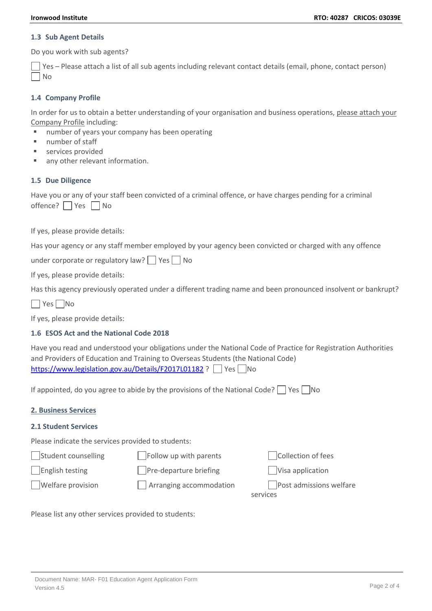#### **1.3 Sub Agent Details**

Do you work with sub agents?

Yes – Please attach a list of all sub agents including relevant contact details (email, phone, contact person) No

## **1.4 Company Profile**

In order for us to obtain a better understanding of your organisation and business operations, please attach your Company Profile including:

- number of years your company has been operating
- number of staff
- services provided
- any other relevant information.

#### **1.5 Due Diligence**

Have you or any of your staff been convicted of a criminal offence, or have charges pending for a criminal  $offence?$   $Yes$   $No$ 

If yes, please provide details:

Has your agency or any staff member employed by your agency been convicted or charged with any offence

under corporate or regulatory law?  $\Box$  Yes  $\Box$  No

If yes, please provide details:

Has this agency previously operated under a different trading name and been pronounced insolvent or bankrupt?

No Yes No

If yes, please provide details:

# **1.6 ESOS Act and the National Code 2018**

Have you read and understood your obligations under the National Code of Practice for Registration Authorities and Providers of Education and Training to Overseas Students (the National Code) <https://www.legislation.gov.au/Details/F2017L01182> ? Yes No

If appointed, do you agree to abide by the provisions of the National Code?  $\Box$  Yes  $\Box$  No

# **2. Business Services**

# **2.1 Student Services**

Please indicate the services provided to students:

 $\lvert$ Student counselling  $\lvert$  Follow up with parents  $\lvert$  Collection of fees

The Pre-departure briefing The Visa application The Tenglish testing The Pre-departure briefing

Welfare provision  $\Box$  Arranging accommodation  $\Box$  Post admissions welfare

services and the services of the services of the services

Please list any other services provided to students: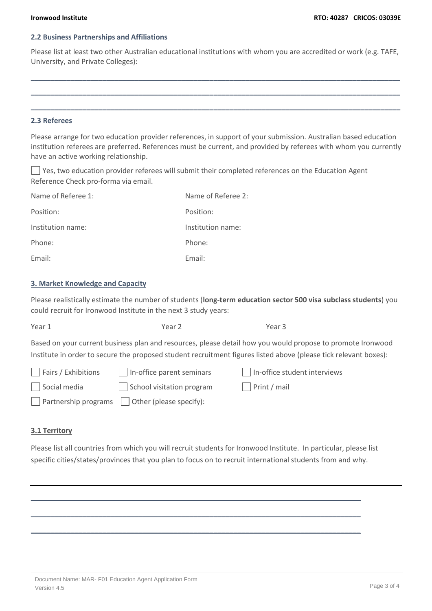# **2.2 Business Partnerships and Affiliations**

Please list at least two other Australian educational institutions with whom you are accredited or work (e.g. TAFE, University, and Private Colleges):

**\_\_\_\_\_\_\_\_\_\_\_\_\_\_\_\_\_\_\_\_\_\_\_\_\_\_\_\_\_\_\_\_\_\_\_\_\_\_\_\_\_\_\_\_\_\_\_\_\_\_\_\_\_\_\_\_\_\_\_\_\_\_\_\_\_\_\_\_\_\_\_\_\_\_\_\_\_\_\_\_\_\_\_\_\_\_\_\_\_\_\_\_\_**

**\_\_\_\_\_\_\_\_\_\_\_\_\_\_\_\_\_\_\_\_\_\_\_\_\_\_\_\_\_\_\_\_\_\_\_\_\_\_\_\_\_\_\_\_\_\_\_\_\_\_\_\_\_\_\_\_\_\_\_\_\_\_\_\_\_\_\_\_\_\_\_\_\_\_\_\_\_\_\_\_\_\_\_\_\_\_\_\_\_\_\_\_\_**

**\_\_\_\_\_\_\_\_\_\_\_\_\_\_\_\_\_\_\_\_\_\_\_\_\_\_\_\_\_\_\_\_\_\_\_\_\_\_\_\_\_\_\_\_\_\_\_\_\_\_\_\_\_\_\_\_\_\_\_\_\_\_\_\_\_\_\_\_\_\_\_\_\_\_\_\_\_\_\_\_\_\_\_\_\_\_\_\_\_\_\_\_\_**

# **2.3 Referees**

Please arrange for two education provider references, in support of your submission. Australian based education institution referees are preferred. References must be current, and provided by referees with whom you currently have an active working relationship.

 $\Box$  Yes, two education provider referees will submit their completed references on the Education Agent Reference Check pro-forma via email.

| Name of Referee 1: | Name of Referee 2: |
|--------------------|--------------------|
| Position:          | Position:          |
| Institution name:  | Institution name:  |
| Phone:             | Phone:             |
| Email:             | Email:             |

# **3. Market Knowledge and Capacity**

Please realistically estimate the number of students (**long-term education sector 500 visa subclass students**) you could recruit for Ironwood Institute in the next 3 study years:

| Year 1 | Year 2                                                                                                           | Year 3 |  |
|--------|------------------------------------------------------------------------------------------------------------------|--------|--|
|        | Based on your current business plan and resources, please detail how you would propose to promote Ironwood       |        |  |
|        | Institute in order to secure the proposed student recruitment figures listed above (please tick relevant boxes): |        |  |

| $\Box$ Fairs / Exhibitions | In-office parent seminars                                  | $\vert$ In-office student interviews |
|----------------------------|------------------------------------------------------------|--------------------------------------|
| Social media               | School visitation program                                  | $\vert$ Print / mail                 |
|                            | $\Box$ Partnership programs $\Box$ Other (please specify): |                                      |

# **3.1 Territory**

Please list all countries from which you will recruit students for Ironwood Institute. In particular, please list specific cities/states/provinces that you plan to focus on to recruit international students from and why.

**\_\_\_\_\_\_\_\_\_\_\_\_\_\_\_\_\_\_\_\_\_\_\_\_\_\_\_\_\_\_\_\_\_\_\_\_\_\_\_\_\_\_\_\_\_\_\_\_\_\_\_\_\_\_\_\_\_\_\_\_\_\_\_\_\_\_\_\_\_\_\_\_\_\_\_\_\_\_\_\_\_\_\_**

**\_\_\_\_\_\_\_\_\_\_\_\_\_\_\_\_\_\_\_\_\_\_\_\_\_\_\_\_\_\_\_\_\_\_\_\_\_\_\_\_\_\_\_\_\_\_\_\_\_\_\_\_\_\_\_\_\_\_\_\_\_\_\_\_\_\_\_\_\_\_\_\_\_\_\_\_\_\_\_\_\_\_\_**

**\_\_\_\_\_\_\_\_\_\_\_\_\_\_\_\_\_\_\_\_\_\_\_\_\_\_\_\_\_\_\_\_\_\_\_\_\_\_\_\_\_\_\_\_\_\_\_\_\_\_\_\_\_\_\_\_\_\_\_\_\_\_\_\_\_\_\_\_\_\_\_\_\_\_\_\_\_\_\_\_\_\_\_**